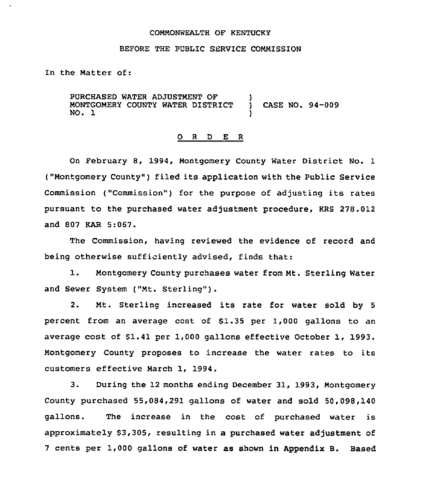#### COMMONWEALTH OF KENTUCKY

## BEFORE THE PUBLIC SERVICE COMMISSION

In the Matter of:

PURCHASED WATER ADJUSTMENT OF  $\left\{\begin{array}{ccc} \end{array}\right\}$ <br>MONTGOMERY COUNTY WATER DISTRICT MONTGOMERY COUNTY WATER DISTRICT ) CASE NO. 94-009 NO. 1

### 0 <sup>R</sup> <sup>D</sup> E <sup>R</sup>

On February 8, 1994, Montgomery County Water District No. 1 ("Montgomery County") filed its application with the Public Service Commission ("Commission") for the purpose of adjusting its rates pursuant to the purchased water adjustment procedure, KRS 278.012 and 807 KAR 5:067.

The Commission, having reviewed the evidence of record and being otherwise sufficiently advised, finds that:

1. Montgomery County purchases water from Mt. Sterling Water and Sewer System ("Mt. Sterling").

2. Mt. Sterling increased its rate for water sold by <sup>5</sup> percent from an average cost 'of \$1.35 per 1,000 gallons to an average cost of \$1.41 per 1,000 gallons effective October 1, 1993. Montgomery County proposes to increase the water rates to its customers effective March 1, 1994.

3. During the 12 months ending December 31, 1993, Montgomery County purchased 55,084,291 gallons of water and sold 50,098,140 gallons. The increase in the cost of purchased water is approximately \$3,305, resulting in a purchased water adjustment of <sup>7</sup> cents per 1,000 gallons of water as shown in Appendix B. Based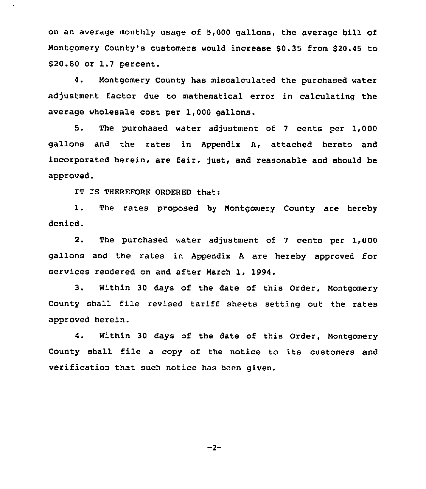on an average monthly usage of 5,000 gallons, the average bill of Montgomery County's customers would increase \$0.35 from \$20.45 to \$20.80 or 1.7 percent.

4. Montgomery County has miscalculated the purchased water adjustment factor due to mathematical error in calculating the average wholesale cost per 1,000 gallons.

5. The purchased water adjustment of <sup>7</sup> cents per 1,000 gallons and the rates in Appendix A, attached hereto and incorporated herein, are fair, just, and reasonable and should be approved.

IT IS THEREFORE ORDERED that:

1. The rates proposed by Nontgomery County are hereby denied.

2. The purchased water adjustment of <sup>7</sup> cents per 1,000 gallons and the rates in Appendix <sup>A</sup> are hereby approved for services rendered on and after March 1, 1994.

3. Within 30 days of the date of this Order, Montgomery County shall file revised tariff sheets setting out the rates approved herein.

4. Within 30 days of the date of this Order, Montgomery County shall file <sup>a</sup> copy of the notice to its customers and verification that such notice has been given.

 $-2-$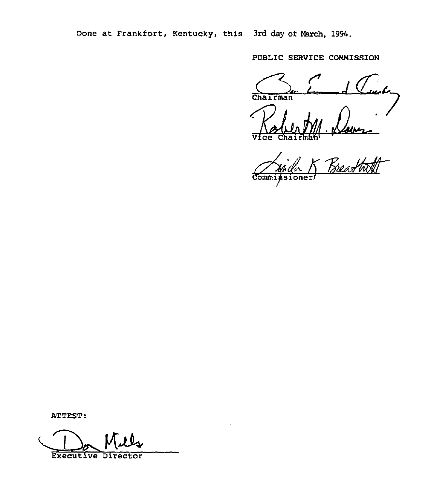Done at Frankfort, Kentucky, this 3rd day of March, 1994.

 $\ddot{\phantom{a}}$ 

PUBLIC SERVICE CONNISSION

Chairman

Vice

<u>Naver</u><br>Breathatt Comm

ATTEST:

Executive Director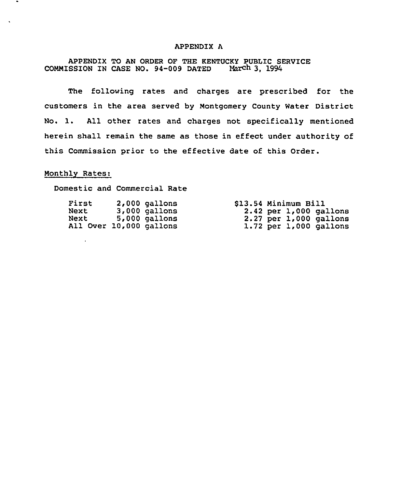# APPENDIX A

APPENDIX TO AN ORDER OF THE KENTUCKY PUBLIC SERVICE COMMISSION IN CASE NO. 94-009 DATED March 3, 1994

The following rates and charges are prescribed for the customers in the area served by Montgomery County Water District No. 1. All other rates and charges not specifically mentioned herein shall remain the same as those in effect under authority of this Commission prior to the effective date of this Order.

## Monthly Rates:

 $\mathbf{r}$ 

Domestic and Commercial Rate

| First                   | $2,000$ gallons |  | \$13.54 Minimum Bill |                            |
|-------------------------|-----------------|--|----------------------|----------------------------|
| Next                    | $3,000$ gallons |  |                      | $2.42$ per $1,000$ gallons |
| Next                    | $5,000$ gallons |  |                      | $2.27$ per $1,000$ gallons |
| All Over 10,000 gallons |                 |  |                      | $1.72$ per $1,000$ gallons |